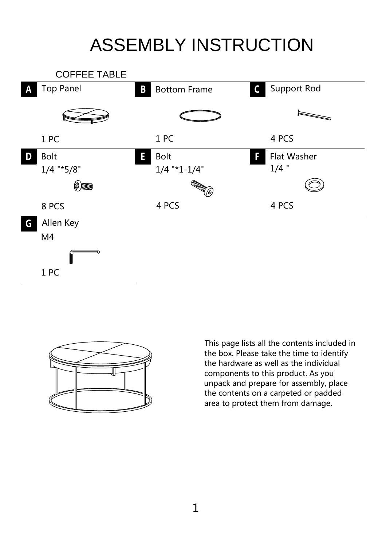## ASSEMBLY INSTRUCTION





This page lists all the contents included in the box. Please take the time to identify the hardware as well as the individual components to this product. As you unpack and prepare for assembly, place the contents on a carpeted or padded area to protect them from damage.